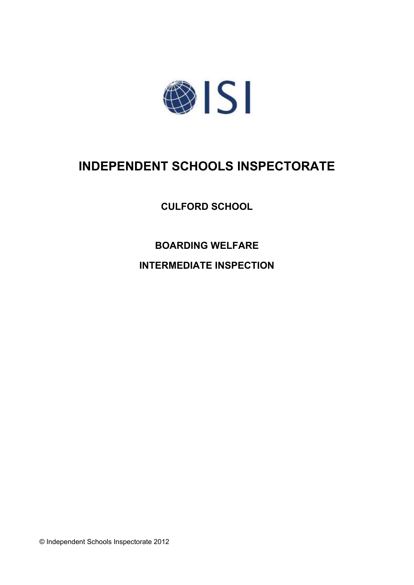

# **INDEPENDENT SCHOOLS INSPECTORATE**

**CULFORD SCHOOL**

**BOARDING WELFARE INTERMEDIATE INSPECTION**

© Independent Schools Inspectorate 2012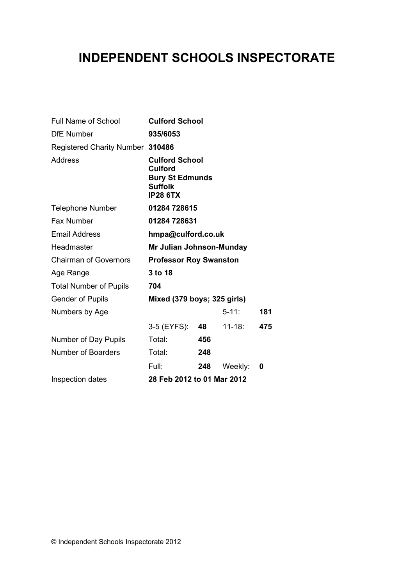## **INDEPENDENT SCHOOLS INSPECTORATE**

| 935/6053                                            |     |                                                                                                                         |     |
|-----------------------------------------------------|-----|-------------------------------------------------------------------------------------------------------------------------|-----|
| Registered Charity Number 310486                    |     |                                                                                                                         |     |
| <b>Culford</b><br><b>Suffolk</b><br><b>IP28 6TX</b> |     |                                                                                                                         |     |
|                                                     |     |                                                                                                                         |     |
|                                                     |     |                                                                                                                         |     |
| hmpa@culford.co.uk                                  |     |                                                                                                                         |     |
| Mr Julian Johnson-Munday                            |     |                                                                                                                         |     |
| <b>Professor Roy Swanston</b>                       |     |                                                                                                                         |     |
| 3 to 18                                             |     |                                                                                                                         |     |
| 704                                                 |     |                                                                                                                         |     |
| Mixed (379 boys; 325 girls)                         |     |                                                                                                                         |     |
|                                                     |     | $5 - 11$ :                                                                                                              | 181 |
|                                                     |     | $11 - 18$ :                                                                                                             | 475 |
| Total:                                              | 456 |                                                                                                                         |     |
| Total:                                              | 248 |                                                                                                                         |     |
| Full:                                               | 248 | Weekly:                                                                                                                 | 0   |
| 28 Feb 2012 to 01 Mar 2012                          |     |                                                                                                                         |     |
|                                                     |     | <b>Culford School</b><br><b>Culford School</b><br><b>Bury St Edmunds</b><br>01284 728615<br>01284 728631<br>3-5 (EYFS): | 48  |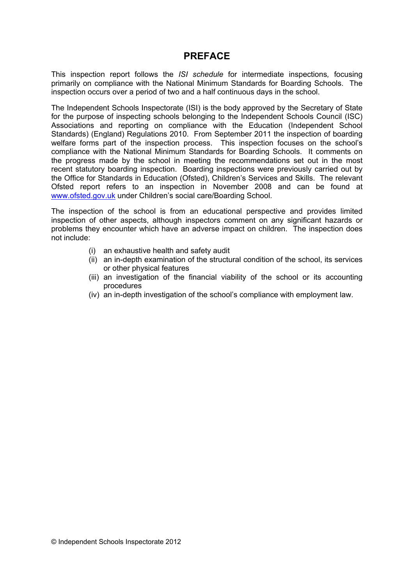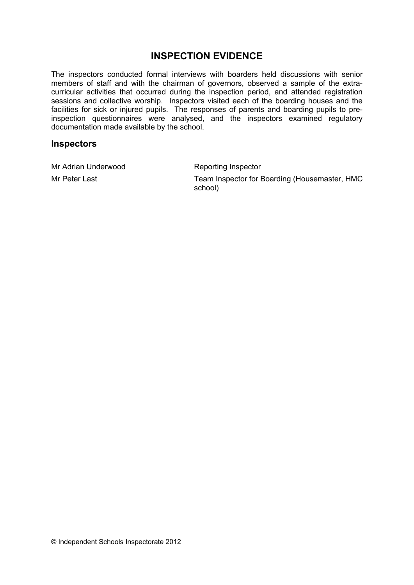## **INSPECTION EVIDENCE**

The inspectors conducted formal interviews with boarders held discussions with senior members of staff and with the chairman of governors, observed a sample of the extracurricular activities that occurred during the inspection period, and attended registration sessions and collective worship. Inspectors visited each of the boarding houses and the facilities for sick or injured pupils. The responses of parents and boarding pupils to preinspection questionnaires were analysed, and the inspectors examined regulatory documentation made available by the school.

#### **Inspectors**

Mr Adrian Underwood Reporting Inspector

Mr Peter Last **Team Inspector for Boarding (Housemaster, HMC** school)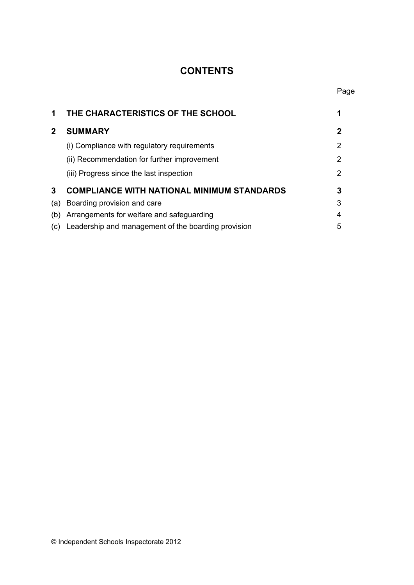## **CONTENTS**

| 1            | THE CHARACTERISTICS OF THE SCHOOL                   |   |
|--------------|-----------------------------------------------------|---|
| $\mathbf{2}$ | <b>SUMMARY</b>                                      | 2 |
|              | (i) Compliance with regulatory requirements         | 2 |
|              | (ii) Recommendation for further improvement         | 2 |
|              | (iii) Progress since the last inspection            | 2 |
| 3            | <b>COMPLIANCE WITH NATIONAL MINIMUM STANDARDS</b>   | 3 |
| (a)          | Boarding provision and care                         | 3 |
| (b)          | Arrangements for welfare and safeguarding           | 4 |
| (C)          | Leadership and management of the boarding provision | 5 |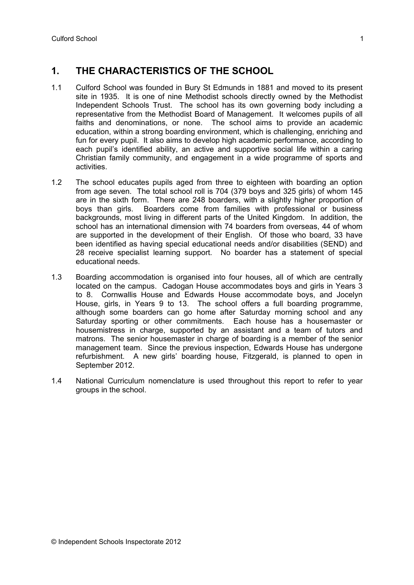## **1. THE CHARACTERISTICS OF THE SCHOOL**

- 1.1 Culford School was founded in Bury St Edmunds in 1881 and moved to its present site in 1935. It is one of nine Methodist schools directly owned by the Methodist Independent Schools Trust. The school has its own governing body including a representative from the Methodist Board of Management. It welcomes pupils of all faiths and denominations, or none. The school aims to provide an academic education, within a strong boarding environment, which is challenging, enriching and fun for every pupil. It also aims to develop high academic performance, according to each pupil's identified ability, an active and supportive social life within a caring Christian family community, and engagement in a wide programme of sports and activities.
- 1.2 The school educates pupils aged from three to eighteen with boarding an option from age seven. The total school roll is 704 (379 boys and 325 girls) of whom 145 are in the sixth form. There are 248 boarders, with a slightly higher proportion of boys than girls. Boarders come from families with professional or business backgrounds, most living in different parts of the United Kingdom. In addition, the school has an international dimension with 74 boarders from overseas, 44 of whom are supported in the development of their English. Of those who board, 33 have been identified as having special educational needs and/or disabilities (SEND) and 28 receive specialist learning support. No boarder has a statement of special educational needs.
- 1.3 Boarding accommodation is organised into four houses, all of which are centrally located on the campus. Cadogan House accommodates boys and girls in Years 3 to 8. Cornwallis House and Edwards House accommodate boys, and Jocelyn House, girls, in Years 9 to 13. The school offers a full boarding programme, although some boarders can go home after Saturday morning school and any Saturday sporting or other commitments. Each house has a housemaster or housemistress in charge, supported by an assistant and a team of tutors and matrons. The senior housemaster in charge of boarding is a member of the senior management team. Since the previous inspection, Edwards House has undergone refurbishment. A new girls' boarding house, Fitzgerald, is planned to open in September 2012.
- 1.4 National Curriculum nomenclature is used throughout this report to refer to year groups in the school.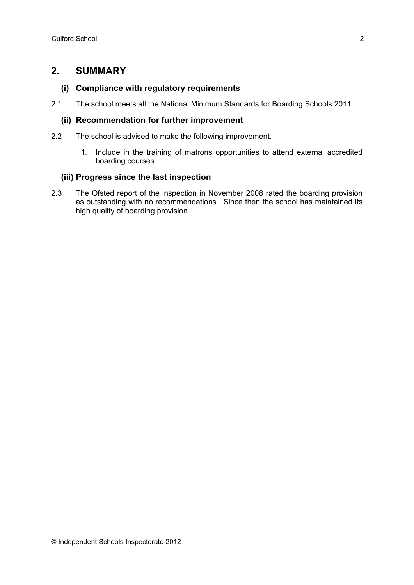### **2. SUMMARY**

#### **(i) Compliance with regulatory requirements**

2.1 The school meets all the National Minimum Standards for Boarding Schools 2011.

#### **(ii) Recommendation for further improvement**

- 2.2 The school is advised to make the following improvement.
	- 1. Include in the training of matrons opportunities to attend external accredited boarding courses.

#### **(iii) Progress since the last inspection**

2.3 The Ofsted report of the inspection in November 2008 rated the boarding provision as outstanding with no recommendations. Since then the school has maintained its high quality of boarding provision.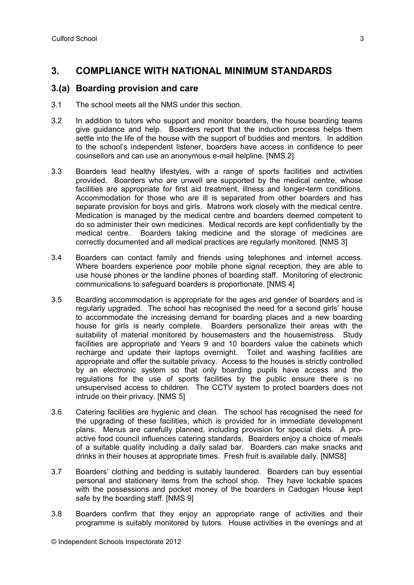## **3. COMPLIANCE WITH NATIONAL MINIMUM STANDARDS**

#### **3.(a) Boarding provision and care**

- 3.1 The school meets all the NMS under this section.
- 3.2 In addition to tutors who support and monitor boarders, the house boarding teams give guidance and help. Boarders report that the induction process helps them settle into the life of the house with the support of buddies and mentors. In addition to the school's independent listener, boarders have access in confidence to peer counsellors and can use an anonymous e-mail helpline. [NMS 2]
- 3.3 Boarders lead healthy lifestyles, with a range of sports facilities and activities provided. Boarders who are unwell are supported by the medical centre, whose facilities are appropriate for first aid treatment, illness and longer-term conditions. Accommodation for those who are ill is separated from other boarders and has separate provision for boys and girls. Matrons work closely with the medical centre. Medication is managed by the medical centre and boarders deemed competent to do so administer their own medicines. Medical records are kept confidentially by the medical centre. Boarders taking medicine and the storage of medicines are correctly documented and all medical practices are regularly monitored. [NMS 3]
- 3.4 Boarders can contact family and friends using telephones and internet access. Where boarders experience poor mobile phone signal reception, they are able to use house phones or the landline phones of boarding staff. Monitoring of electronic communications to safeguard boarders is proportionate. [NMS 4]
- 3.5 Boarding accommodation is appropriate for the ages and gender of boarders and is regularly upgraded. The school has recognised the need for a second girls' house to accommodate the increasing demand for boarding places and a new boarding house for girls is nearly complete. Boarders personalize their areas with the suitability of material monitored by housemasters and the housemistress. Study facilities are appropriate and Years 9 and 10 boarders value the cabinets which recharge and update their laptops overnight. Toilet and washing facilities are appropriate and offer the suitable privacy. Access to the houses is strictly controlled by an electronic system so that only boarding pupils have access and the regulations for the use of sports facilities by the public ensure there is no unsupervised access to children. The CCTV system to protect boarders does not intrude on their privacy. [NMS 5]
- 3.6 Catering facilities are hygienic and clean. The school has recognised the need for the upgrading of these facilities, which is provided for in immediate development plans. Menus are carefully planned, including provision for special diets. A proactive food council influences catering standards. Boarders enjoy a choice of meals of a suitable quality including a daily salad bar. Boarders can make snacks and drinks in their houses at appropriate times. Fresh fruit is available daily. [NMS8]
- 3.7 Boarders' clothing and bedding is suitably laundered. Boarders can buy essential personal and stationery items from the school shop. They have lockable spaces with the possessions and pocket money of the boarders in Cadogan House kept safe by the boarding staff. [NMS 9]
- 3.8 Boarders confirm that they enjoy an appropriate range of activities and their programme is suitably monitored by tutors. House activities in the evenings and at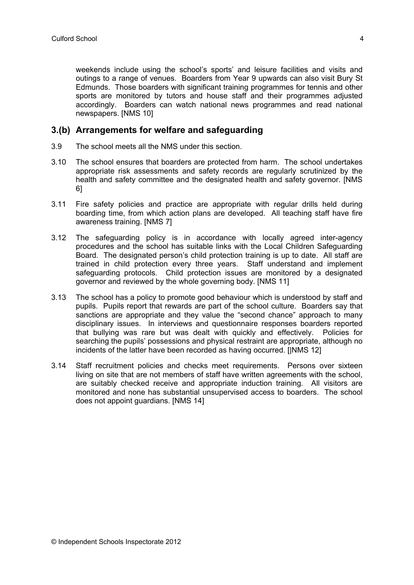weekends include using the school's sports' and leisure facilities and visits and outings to a range of venues. Boarders from Year 9 upwards can also visit Bury St Edmunds. Those boarders with significant training programmes for tennis and other sports are monitored by tutors and house staff and their programmes adjusted accordingly. Boarders can watch national news programmes and read national newspapers. [NMS 10]

#### **3.(b) Arrangements for welfare and safeguarding**

- 3.9 The school meets all the NMS under this section.
- 3.10 The school ensures that boarders are protected from harm. The school undertakes appropriate risk assessments and safety records are regularly scrutinized by the health and safety committee and the designated health and safety governor. [NMS 6]
- 3.11 Fire safety policies and practice are appropriate with regular drills held during boarding time, from which action plans are developed. All teaching staff have fire awareness training. [NMS 7]
- 3.12 The safeguarding policy is in accordance with locally agreed inter-agency procedures and the school has suitable links with the Local Children Safeguarding Board. The designated person's child protection training is up to date. All staff are trained in child protection every three years. Staff understand and implement safeguarding protocols. Child protection issues are monitored by a designated governor and reviewed by the whole governing body. [NMS 11]
- 3.13 The school has a policy to promote good behaviour which is understood by staff and pupils. Pupils report that rewards are part of the school culture. Boarders say that sanctions are appropriate and they value the "second chance" approach to many disciplinary issues. In interviews and questionnaire responses boarders reported that bullying was rare but was dealt with quickly and effectively. Policies for searching the pupils' possessions and physical restraint are appropriate, although no incidents of the latter have been recorded as having occurred. [|NMS 12]
- 3.14 Staff recruitment policies and checks meet requirements. Persons over sixteen living on site that are not members of staff have written agreements with the school, are suitably checked receive and appropriate induction training. All visitors are monitored and none has substantial unsupervised access to boarders. The school does not appoint guardians. [NMS 14]